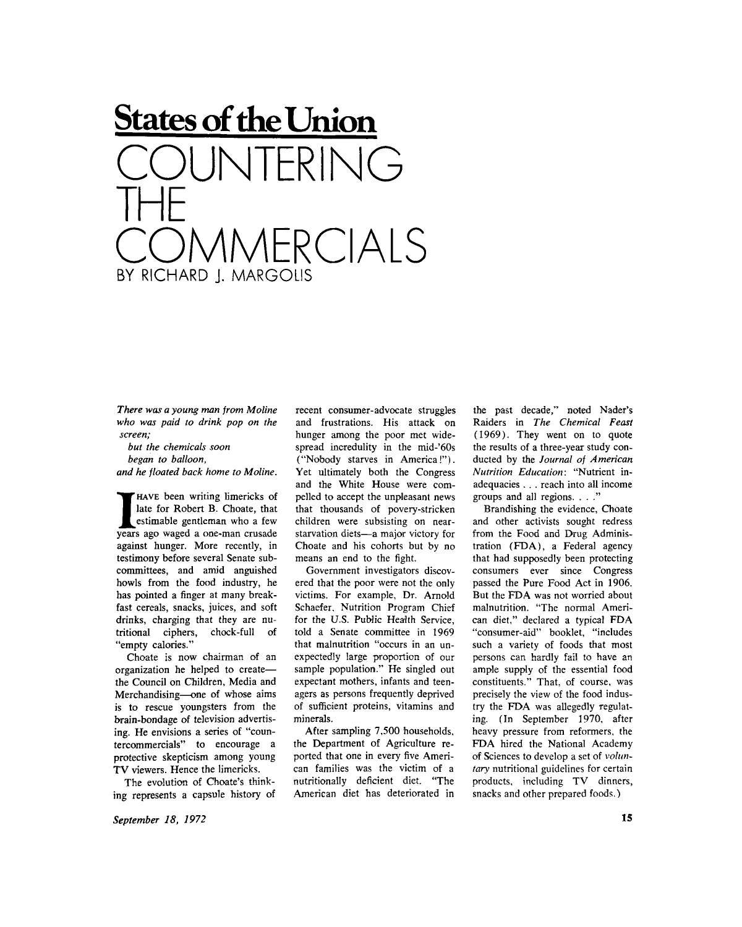## **States of the Union IFRING THE COMMERCIALS**  BY RICHARD I. MARGOLIS

*There was a young man from Moline who was paid to drink pop on the screen;* 

*but the chemicals soon began to balloon, and he floated back home to Moline.* 

**II** HAVE been writing limericks of late for Robert B. Choate, that estimable gentleman who a few years ago waged a one-man crusade HAVE been writing limericks of late for Robert B. Choate, that estimable gentleman who a few against hunger. More recently, in testimony before several Senate subcommittees, and amid anguished howls from the food industry, he has pointed a finger at many breakfast cereals, snacks, juices, and soft drinks, charging that they are nutritional ciphers, chock-full of "empty calories."

Choate is now chairman of an organization he helped to create the Council on Children, Media and Merchandising—one of whose aims is to rescue youngsters from the brain-bondage of television advertising. He envisions a series of "countercommercials" to encourage a protective skepticism among young TV viewers. Hence the limericks.

The evolution of Choate's thinking represents a capsule history of recent consumer-advocate struggles and frustrations. His attack on hunger among the poor met widespread incredulity in the mid-'60s ("Nobody starves in America!"). Yet ultimately both the Congress and the White House were compelled to accept the unpleasant news that thousands of povery-stricken children were subsisting on nearstarvation diets—a major victory for Choate and his cohorts but by no means an end to the fight.

Government investigators discovered that the poor were not the only victims. For example, Dr. Arnold Schaefer, Nutrition Program Chief for the U.S. Public Health Service, told a Senate committee in 1969 that malnutrition "occurs in an unexpectedly large proportion of our sample population." He singled out expectant mothers, infants and teenagers as persons frequently deprived of sufficient proteins, vitamins and minerals.

After sampling 7,500 households, the Department of Agriculture reported that one in every five American families was the victim of a nutritionally deficient diet. "The American diet has deteriorated in the past decade," noted Nader's Raiders in *The Chemical Feast*  (1969). They went on to quote the results of a three-year study conducted by the *Journal of American Nutrition Education:* "Nutrient inadequacies . . . reach into all income groups and all regions. . . ."

Brandishing the evidence, Choate and other activists sought redress from the Food and Drug Administration (FDA), a Federal agency that had supposedly been protecting consumers ever since Congress passed the Pure Food Act in 1906. But the FDA was not worried about malnutrition. "The normal American diet," declared a typical FDA "consumer-aid" booklet, "includes such a variety of foods that most persons can hardly fail to have an ample supply of the essential food constituents." That, of course, was precisely the view of the food industry the FDA was allegedly regulating. (In September 1970, after heavy pressure from reformers, the FDA hired the National Academy of Sciences to develop a set of *voluntary* nutritional guidelines for certain products, including TV dinners, snacks and other prepared foods.)